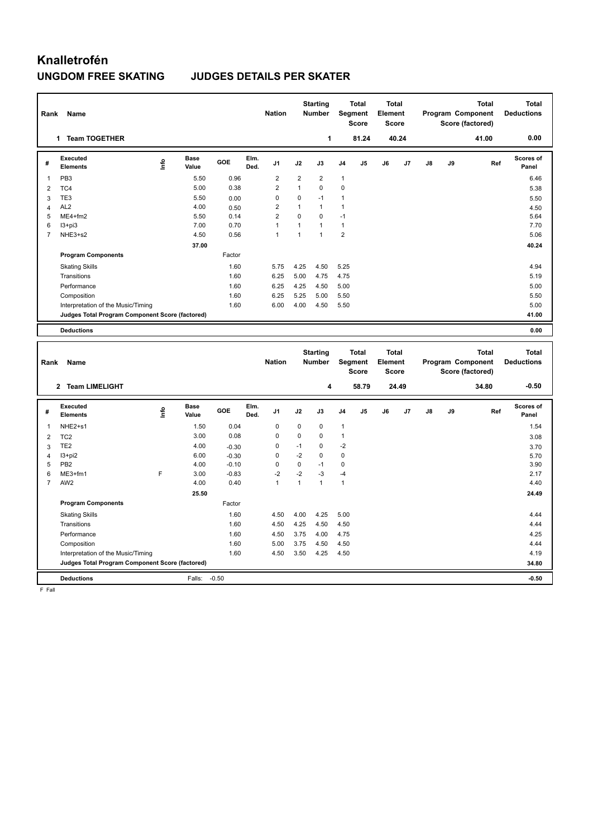# **Knalletrofén UNGDOM FREE SKATING JUDGES DETAILS PER SKATER**

| Rank           | Name                                            |    |                      |        |              | <b>Nation</b>  |                | <b>Starting</b><br><b>Number</b> | <b>Segment</b> | <b>Total</b><br><b>Score</b> | <b>Total</b><br>Element<br>Score |                |    |    | <b>Total</b><br>Program Component<br>Score (factored) | Total<br><b>Deductions</b> |
|----------------|-------------------------------------------------|----|----------------------|--------|--------------|----------------|----------------|----------------------------------|----------------|------------------------------|----------------------------------|----------------|----|----|-------------------------------------------------------|----------------------------|
|                | <b>Team TOGETHER</b><br>1                       |    |                      |        |              |                |                | 1                                |                | 81.24                        |                                  | 40.24          |    |    | 41.00                                                 | 0.00                       |
| #              | Executed<br><b>Elements</b>                     | ۴٥ | <b>Base</b><br>Value | GOE    | Elm.<br>Ded. | J1             | J2             | J3                               | J <sub>4</sub> | J <sub>5</sub>               | J6                               | J <sub>7</sub> | J8 | J9 | Ref                                                   | Scores of<br>Panel         |
| 1              | PB <sub>3</sub>                                 |    | 5.50                 | 0.96   |              | $\overline{2}$ | $\overline{2}$ | $\overline{2}$                   | $\mathbf{1}$   |                              |                                  |                |    |    |                                                       | 6.46                       |
| $\overline{2}$ | TC4                                             |    | 5.00                 | 0.38   |              | $\overline{2}$ | 1              | $\Omega$                         | $\mathbf 0$    |                              |                                  |                |    |    |                                                       | 5.38                       |
| 3              | TE <sub>3</sub>                                 |    | 5.50                 | 0.00   |              | 0              | $\mathbf 0$    | $-1$                             | 1              |                              |                                  |                |    |    |                                                       | 5.50                       |
| 4              | AL <sub>2</sub>                                 |    | 4.00                 | 0.50   |              | $\overline{2}$ | 1              | $\mathbf{1}$                     | $\mathbf{1}$   |                              |                                  |                |    |    |                                                       | 4.50                       |
| 5              | $ME4 + fm2$                                     |    | 5.50                 | 0.14   |              | $\overline{2}$ | $\Omega$       | $\Omega$                         | $-1$           |                              |                                  |                |    |    |                                                       | 5.64                       |
| 6              | $13 + pi3$                                      |    | 7.00                 | 0.70   |              | $\overline{1}$ | 1              | $\mathbf{1}$                     | $\mathbf{1}$   |                              |                                  |                |    |    |                                                       | 7.70                       |
| $\overline{7}$ | NHE3+s2                                         |    | 4.50                 | 0.56   |              | $\overline{1}$ | 1              | $\mathbf{1}$                     | $\overline{2}$ |                              |                                  |                |    |    |                                                       | 5.06                       |
|                |                                                 |    | 37.00                |        |              |                |                |                                  |                |                              |                                  |                |    |    |                                                       | 40.24                      |
|                | <b>Program Components</b>                       |    |                      | Factor |              |                |                |                                  |                |                              |                                  |                |    |    |                                                       |                            |
|                | <b>Skating Skills</b>                           |    |                      | 1.60   |              | 5.75           | 4.25           | 4.50                             | 5.25           |                              |                                  |                |    |    |                                                       | 4.94                       |
|                | Transitions                                     |    |                      | 1.60   |              | 6.25           | 5.00           | 4.75                             | 4.75           |                              |                                  |                |    |    |                                                       | 5.19                       |
|                | Performance                                     |    |                      | 1.60   |              | 6.25           | 4.25           | 4.50                             | 5.00           |                              |                                  |                |    |    |                                                       | 5.00                       |
|                | Composition                                     |    |                      | 1.60   |              | 6.25           | 5.25           | 5.00                             | 5.50           |                              |                                  |                |    |    |                                                       | 5.50                       |
|                | Interpretation of the Music/Timing              |    |                      | 1.60   |              | 6.00           | 4.00           | 4.50                             | 5.50           |                              |                                  |                |    |    |                                                       | 5.00                       |
|                | Judges Total Program Component Score (factored) |    |                      |        |              |                |                |                                  |                |                              |                                  |                |    |    |                                                       | 41.00                      |
|                | <b>Deductions</b>                               |    |                      |        |              |                |                |                                  |                |                              |                                  |                |    |    |                                                       | 0.00                       |
|                |                                                 |    |                      |        |              |                |                | <b>Starting</b>                  |                | <b>Total</b>                 | <b>Total</b>                     |                |    |    | <b>Total</b>                                          | <b>Total</b>               |

| Rank           | Name                                            |      |                      |            |              | <b>Nation</b>  |             | otai ting<br><b>Number</b> |                | ι νιαι<br>Segment<br>Score | ι νιαι<br>Element<br><b>Score</b> |       |    |    | ινιαι<br>Program Component<br>Score (factored) | ινιαι<br><b>Deductions</b> |
|----------------|-------------------------------------------------|------|----------------------|------------|--------------|----------------|-------------|----------------------------|----------------|----------------------------|-----------------------------------|-------|----|----|------------------------------------------------|----------------------------|
|                | <b>Team LIMELIGHT</b><br>$\mathbf{2}$           |      |                      |            |              |                |             | 4                          |                | 58.79                      |                                   | 24.49 |    |    | 34.80                                          | $-0.50$                    |
| #              | Executed<br><b>Elements</b>                     | lnfo | <b>Base</b><br>Value | <b>GOE</b> | Elm.<br>Ded. | J <sub>1</sub> | J2          | J3                         | J <sub>4</sub> | J <sub>5</sub>             | J6                                | J7    | J8 | J9 | Ref                                            | Scores of<br>Panel         |
| -1             | NHE2+s1                                         |      | 1.50                 | 0.04       |              | 0              | 0           | 0                          | $\mathbf{1}$   |                            |                                   |       |    |    |                                                | 1.54                       |
| $\overline{2}$ | TC <sub>2</sub>                                 |      | 3.00                 | 0.08       |              | $\mathbf 0$    | $\mathbf 0$ | $\mathbf 0$                | 1              |                            |                                   |       |    |    |                                                | 3.08                       |
| 3              | TE <sub>2</sub>                                 |      | 4.00                 | $-0.30$    |              | 0              | $-1$        | $\Omega$                   | $-2$           |                            |                                   |       |    |    |                                                | 3.70                       |
| 4              | $13 + pi2$                                      |      | 6.00                 | $-0.30$    |              | 0              | $-2$        | $\Omega$                   | 0              |                            |                                   |       |    |    |                                                | 5.70                       |
| 5              | PB <sub>2</sub>                                 |      | 4.00                 | $-0.10$    |              | $\Omega$       | 0           | $-1$                       | 0              |                            |                                   |       |    |    |                                                | 3.90                       |
| 6              | $ME3+fm1$                                       | F    | 3.00                 | $-0.83$    |              | $-2$           | $-2$        | -3                         | $-4$           |                            |                                   |       |    |    |                                                | 2.17                       |
| $\overline{7}$ | AW <sub>2</sub>                                 |      | 4.00                 | 0.40       |              | $\overline{1}$ | 1           | $\overline{1}$             | $\mathbf{1}$   |                            |                                   |       |    |    |                                                | 4.40                       |
|                |                                                 |      | 25.50                |            |              |                |             |                            |                |                            |                                   |       |    |    |                                                | 24.49                      |
|                | <b>Program Components</b>                       |      |                      | Factor     |              |                |             |                            |                |                            |                                   |       |    |    |                                                |                            |
|                | <b>Skating Skills</b>                           |      |                      | 1.60       |              | 4.50           | 4.00        | 4.25                       | 5.00           |                            |                                   |       |    |    |                                                | 4.44                       |
|                | Transitions                                     |      |                      | 1.60       |              | 4.50           | 4.25        | 4.50                       | 4.50           |                            |                                   |       |    |    |                                                | 4.44                       |
|                | Performance                                     |      |                      | 1.60       |              | 4.50           | 3.75        | 4.00                       | 4.75           |                            |                                   |       |    |    |                                                | 4.25                       |
|                | Composition                                     |      |                      | 1.60       |              | 5.00           | 3.75        | 4.50                       | 4.50           |                            |                                   |       |    |    |                                                | 4.44                       |
|                | Interpretation of the Music/Timing              |      |                      | 1.60       |              | 4.50           | 3.50        | 4.25                       | 4.50           |                            |                                   |       |    |    |                                                | 4.19                       |
|                | Judges Total Program Component Score (factored) |      |                      |            |              |                |             |                            |                |                            |                                   |       |    |    |                                                | 34.80                      |
|                | <b>Deductions</b>                               |      | Falls:               | $-0.50$    |              |                |             |                            |                |                            |                                   |       |    |    |                                                | $-0.50$                    |

F Fall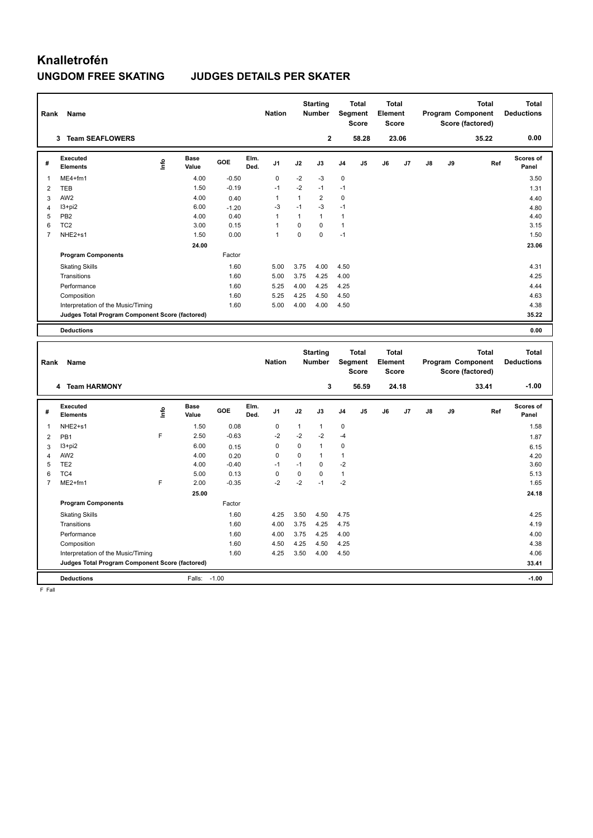# **Knalletrofén**

## **UNGDOM FREE SKATING JUDGES DETAILS PER SKATER**

| Rank           | Name                                            |      |               |            |              | <b>Nation</b>  |          | <b>Starting</b><br><b>Number</b> |                | <b>Total</b><br>Segment<br><b>Score</b> | <b>Total</b><br>Element<br><b>Score</b> |                |    |    | <b>Total</b><br>Program Component<br>Score (factored) | Total<br><b>Deductions</b> |
|----------------|-------------------------------------------------|------|---------------|------------|--------------|----------------|----------|----------------------------------|----------------|-----------------------------------------|-----------------------------------------|----------------|----|----|-------------------------------------------------------|----------------------------|
|                | <b>Team SEAFLOWERS</b><br>3                     |      |               |            |              |                |          | $\mathbf{2}$                     |                | 58.28                                   |                                         | 23.06          |    |    | 35.22                                                 | 0.00                       |
| #              | Executed<br><b>Elements</b>                     | Info | Base<br>Value | <b>GOE</b> | Elm.<br>Ded. | J1             | J2       | J3                               | J <sub>4</sub> | J <sub>5</sub>                          | J6                                      | J <sub>7</sub> | J8 | J9 | Ref                                                   | Scores of<br>Panel         |
| 1              | ME4+fm1                                         |      | 4.00          | $-0.50$    |              | $\mathbf 0$    | $-2$     | $-3$                             | $\mathbf 0$    |                                         |                                         |                |    |    |                                                       | 3.50                       |
| $\overline{2}$ | <b>TEB</b>                                      |      | 1.50          | $-0.19$    |              | $-1$           | $-2$     | $-1$                             | $-1$           |                                         |                                         |                |    |    |                                                       | 1.31                       |
| 3              | AW <sub>2</sub>                                 |      | 4.00          | 0.40       |              | $\overline{1}$ | 1        | $\overline{2}$                   | $\pmb{0}$      |                                         |                                         |                |    |    |                                                       | 4.40                       |
| 4              | $13 + pi2$                                      |      | 6.00          | $-1.20$    |              | -3             | $-1$     | $-3$                             | $-1$           |                                         |                                         |                |    |    |                                                       | 4.80                       |
| 5              | PB <sub>2</sub>                                 |      | 4.00          | 0.40       |              | $\overline{1}$ | 1        | $\mathbf{1}$                     | 1              |                                         |                                         |                |    |    |                                                       | 4.40                       |
| 6              | TC <sub>2</sub>                                 |      | 3.00          | 0.15       |              | 1              | $\Omega$ | $\Omega$                         | $\mathbf{1}$   |                                         |                                         |                |    |    |                                                       | 3.15                       |
| $\overline{7}$ | NHE <sub>2+s1</sub>                             |      | 1.50          | 0.00       |              | $\overline{1}$ | $\Omega$ | $\Omega$                         | $-1$           |                                         |                                         |                |    |    |                                                       | 1.50                       |
|                |                                                 |      | 24.00         |            |              |                |          |                                  |                |                                         |                                         |                |    |    |                                                       | 23.06                      |
|                | <b>Program Components</b>                       |      |               | Factor     |              |                |          |                                  |                |                                         |                                         |                |    |    |                                                       |                            |
|                | <b>Skating Skills</b>                           |      |               | 1.60       |              | 5.00           | 3.75     | 4.00                             | 4.50           |                                         |                                         |                |    |    |                                                       | 4.31                       |
|                | Transitions                                     |      |               | 1.60       |              | 5.00           | 3.75     | 4.25                             | 4.00           |                                         |                                         |                |    |    |                                                       | 4.25                       |
|                | Performance                                     |      |               | 1.60       |              | 5.25           | 4.00     | 4.25                             | 4.25           |                                         |                                         |                |    |    |                                                       | 4.44                       |
|                | Composition                                     |      |               | 1.60       |              | 5.25           | 4.25     | 4.50                             | 4.50           |                                         |                                         |                |    |    |                                                       | 4.63                       |
|                | Interpretation of the Music/Timing              |      |               | 1.60       |              | 5.00           | 4.00     | 4.00                             | 4.50           |                                         |                                         |                |    |    |                                                       | 4.38                       |
|                | Judges Total Program Component Score (factored) |      |               |            |              |                |          |                                  |                |                                         |                                         |                |    |    |                                                       | 35.22                      |
|                | <b>Deductions</b>                               |      |               |            |              |                |          |                                  |                |                                         |                                         |                |    |    |                                                       | 0.00                       |
|                |                                                 |      |               |            |              |                |          | <b>Starting</b>                  |                | <b>Total</b>                            | <b>Total</b>                            |                |    |    | <b>Total</b>                                          | <b>Total</b>               |

| Rank           | Name                                            |    |                      |            |              | <b>Nation</b>  |      | Starting<br><b>Number</b> |                | Total<br>Segment<br><b>Score</b> | Total<br>Element<br><b>Score</b> |       |    |    | Total<br>Program Component<br>Score (factored) | Total<br><b>Deductions</b> |
|----------------|-------------------------------------------------|----|----------------------|------------|--------------|----------------|------|---------------------------|----------------|----------------------------------|----------------------------------|-------|----|----|------------------------------------------------|----------------------------|
|                | <b>Team HARMONY</b><br>4                        |    |                      |            |              |                |      | 3                         |                | 56.59                            |                                  | 24.18 |    |    | 33.41                                          | $-1.00$                    |
| #              | Executed<br><b>Elements</b>                     | ۴ů | <b>Base</b><br>Value | <b>GOE</b> | Elm.<br>Ded. | J <sub>1</sub> | J2   | J3                        | J <sub>4</sub> | J5                               | J6                               | J7    | J8 | J9 | Ref                                            | <b>Scores of</b><br>Panel  |
| 1              | NHE2+s1                                         |    | 1.50                 | 0.08       |              | $\mathbf 0$    | 1    | 1                         | 0              |                                  |                                  |       |    |    |                                                | 1.58                       |
| 2              | PB <sub>1</sub>                                 | F  | 2.50                 | $-0.63$    |              | $-2$           | $-2$ | $-2$                      | $-4$           |                                  |                                  |       |    |    |                                                | 1.87                       |
| 3              | I3+pi2                                          |    | 6.00                 | 0.15       |              | 0              | 0    | $\overline{1}$            | 0              |                                  |                                  |       |    |    |                                                | 6.15                       |
| $\overline{4}$ | AW <sub>2</sub>                                 |    | 4.00                 | 0.20       |              | 0              | 0    | $\mathbf{1}$              | 1              |                                  |                                  |       |    |    |                                                | 4.20                       |
| 5              | TE <sub>2</sub>                                 |    | 4.00                 | $-0.40$    |              | $-1$           | $-1$ | $\Omega$                  | $-2$           |                                  |                                  |       |    |    |                                                | 3.60                       |
| 6              | TC4                                             |    | 5.00                 | 0.13       |              | $\Omega$       | 0    | $\Omega$                  | 1              |                                  |                                  |       |    |    |                                                | 5.13                       |
| 7              | $ME2+fm1$                                       | F  | 2.00                 | $-0.35$    |              | $-2$           | $-2$ | $-1$                      | $-2$           |                                  |                                  |       |    |    |                                                | 1.65                       |
|                |                                                 |    | 25.00                |            |              |                |      |                           |                |                                  |                                  |       |    |    |                                                | 24.18                      |
|                | <b>Program Components</b>                       |    |                      | Factor     |              |                |      |                           |                |                                  |                                  |       |    |    |                                                |                            |
|                | <b>Skating Skills</b>                           |    |                      | 1.60       |              | 4.25           | 3.50 | 4.50                      | 4.75           |                                  |                                  |       |    |    |                                                | 4.25                       |
|                | Transitions                                     |    |                      | 1.60       |              | 4.00           | 3.75 | 4.25                      | 4.75           |                                  |                                  |       |    |    |                                                | 4.19                       |
|                | Performance                                     |    |                      | 1.60       |              | 4.00           | 3.75 | 4.25                      | 4.00           |                                  |                                  |       |    |    |                                                | 4.00                       |
|                | Composition                                     |    |                      | 1.60       |              | 4.50           | 4.25 | 4.50                      | 4.25           |                                  |                                  |       |    |    |                                                | 4.38                       |
|                | Interpretation of the Music/Timing              |    |                      | 1.60       |              | 4.25           | 3.50 | 4.00                      | 4.50           |                                  |                                  |       |    |    |                                                | 4.06                       |
|                | Judges Total Program Component Score (factored) |    |                      |            |              |                |      |                           |                |                                  |                                  |       |    |    |                                                | 33.41                      |
|                | <b>Deductions</b>                               |    | Falls:               | $-1.00$    |              |                |      |                           |                |                                  |                                  |       |    |    |                                                | $-1.00$                    |

F Fall